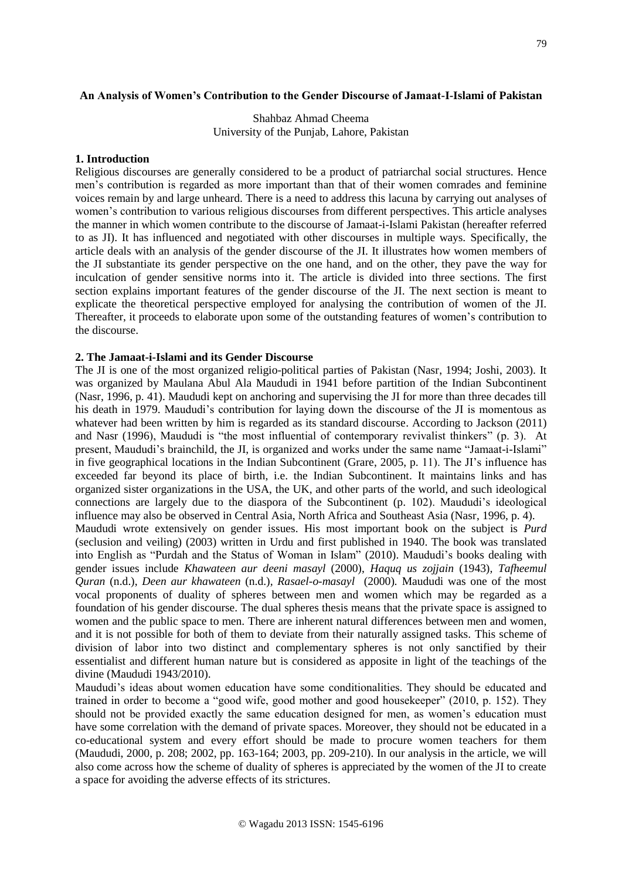Shahbaz Ahmad Cheema University of the Punjab, Lahore, Pakistan

## **1. Introduction**

Religious discourses are generally considered to be a product of patriarchal social structures. Hence men's contribution is regarded as more important than that of their women comrades and feminine voices remain by and large unheard. There is a need to address this lacuna by carrying out analyses of women's contribution to various religious discourses from different perspectives. This article analyses the manner in which women contribute to the discourse of Jamaat-i-Islami Pakistan (hereafter referred to as JI). It has influenced and negotiated with other discourses in multiple ways. Specifically, the article deals with an analysis of the gender discourse of the JI. It illustrates how women members of the JI substantiate its gender perspective on the one hand, and on the other, they pave the way for inculcation of gender sensitive norms into it. The article is divided into three sections. The first section explains important features of the gender discourse of the JI. The next section is meant to explicate the theoretical perspective employed for analysing the contribution of women of the JI. Thereafter, it proceeds to elaborate upon some of the outstanding features of women's contribution to the discourse.

#### **2. The Jamaat-i-Islami and its Gender Discourse**

The JI is one of the most organized religio-political parties of Pakistan (Nasr, 1994; Joshi, 2003). It was organized by Maulana Abul Ala Maududi in 1941 before partition of the Indian Subcontinent (Nasr, 1996, p. 41). Maududi kept on anchoring and supervising the JI for more than three decades till his death in 1979. Maududi's contribution for laying down the discourse of the JI is momentous as whatever had been written by him is regarded as its standard discourse. According to Jackson (2011) and Nasr (1996), Maududi is "the most influential of contemporary revivalist thinkers" (p. 3). At present, Maududi's brainchild, the JI, is organized and works under the same name "Jamaat-i-Islami" in five geographical locations in the Indian Subcontinent (Grare, 2005, p. 11). The JI's influence has exceeded far beyond its place of birth, i.e. the Indian Subcontinent. It maintains links and has organized sister organizations in the USA, the UK, and other parts of the world, and such ideological connections are largely due to the diaspora of the Subcontinent (p. 102). Maududi's ideological influence may also be observed in Central Asia, North Africa and Southeast Asia (Nasr, 1996, p. 4). Maududi wrote extensively on gender issues. His most important book on the subject is *Purd* (seclusion and veiling) (2003) written in Urdu and first published in 1940. The book was translated into English as "Purdah and the Status of Woman in Islam" (2010). Maududi's books dealing with gender issues include *Khawateen aur deeni masayl* (2000), *Haquq us zojjain* (1943)*, Tafheemul Quran* (n.d.), *Deen aur khawateen* (n.d.)*, Rasael-o-masayl* (2000)*.* Maududi was one of the most vocal proponents of duality of spheres between men and women which may be regarded as a foundation of his gender discourse. The dual spheres thesis means that the private space is assigned to women and the public space to men. There are inherent natural differences between men and women, and it is not possible for both of them to deviate from their naturally assigned tasks. This scheme of division of labor into two distinct and complementary spheres is not only sanctified by their essentialist and different human nature but is considered as apposite in light of the teachings of the divine (Maududi 1943/2010).

Maududi's ideas about women education have some conditionalities. They should be educated and trained in order to become a "good wife, good mother and good housekeeper" (2010, p. 152). They should not be provided exactly the same education designed for men, as women's education must have some correlation with the demand of private spaces. Moreover, they should not be educated in a co-educational system and every effort should be made to procure women teachers for them (Maududi, 2000, p. 208; 2002, pp. 163-164; 2003, pp. 209-210). In our analysis in the article, we will also come across how the scheme of duality of spheres is appreciated by the women of the JI to create a space for avoiding the adverse effects of its strictures.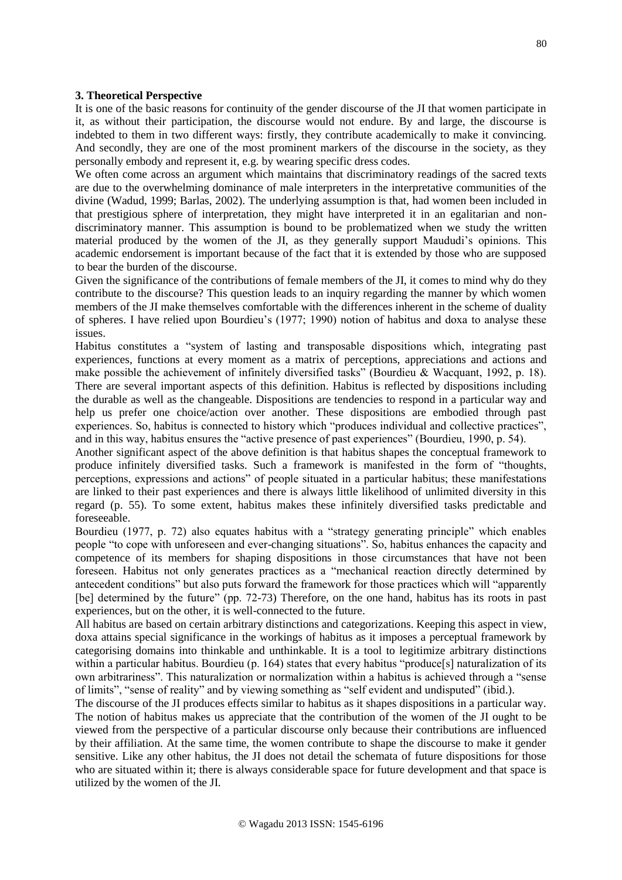## **3. Theoretical Perspective**

It is one of the basic reasons for continuity of the gender discourse of the JI that women participate in it, as without their participation, the discourse would not endure. By and large, the discourse is indebted to them in two different ways: firstly, they contribute academically to make it convincing. And secondly, they are one of the most prominent markers of the discourse in the society, as they personally embody and represent it, e.g. by wearing specific dress codes.

We often come across an argument which maintains that discriminatory readings of the sacred texts are due to the overwhelming dominance of male interpreters in the interpretative communities of the divine (Wadud, 1999; Barlas, 2002). The underlying assumption is that, had women been included in that prestigious sphere of interpretation, they might have interpreted it in an egalitarian and nondiscriminatory manner. This assumption is bound to be problematized when we study the written material produced by the women of the JI, as they generally support Maududi's opinions. This academic endorsement is important because of the fact that it is extended by those who are supposed to bear the burden of the discourse.

Given the significance of the contributions of female members of the JI, it comes to mind why do they contribute to the discourse? This question leads to an inquiry regarding the manner by which women members of the JI make themselves comfortable with the differences inherent in the scheme of duality of spheres. I have relied upon Bourdieu's (1977; 1990) notion of habitus and doxa to analyse these issues.

Habitus constitutes a "system of lasting and transposable dispositions which, integrating past experiences, functions at every moment as a matrix of perceptions, appreciations and actions and make possible the achievement of infinitely diversified tasks" (Bourdieu & Wacquant, 1992, p. 18). There are several important aspects of this definition. Habitus is reflected by dispositions including the durable as well as the changeable. Dispositions are tendencies to respond in a particular way and help us prefer one choice/action over another. These dispositions are embodied through past experiences. So, habitus is connected to history which "produces individual and collective practices", and in this way, habitus ensures the "active presence of past experiences" (Bourdieu, 1990, p. 54).

Another significant aspect of the above definition is that habitus shapes the conceptual framework to produce infinitely diversified tasks. Such a framework is manifested in the form of "thoughts, perceptions, expressions and actions" of people situated in a particular habitus; these manifestations are linked to their past experiences and there is always little likelihood of unlimited diversity in this regard (p. 55). To some extent, habitus makes these infinitely diversified tasks predictable and foreseeable.

Bourdieu (1977, p. 72) also equates habitus with a "strategy generating principle" which enables people "to cope with unforeseen and ever-changing situations". So, habitus enhances the capacity and competence of its members for shaping dispositions in those circumstances that have not been foreseen. Habitus not only generates practices as a "mechanical reaction directly determined by antecedent conditions" but also puts forward the framework for those practices which will "apparently [be] determined by the future" (pp. 72-73) Therefore, on the one hand, habitus has its roots in past experiences, but on the other, it is well-connected to the future.

All habitus are based on certain arbitrary distinctions and categorizations. Keeping this aspect in view, doxa attains special significance in the workings of habitus as it imposes a perceptual framework by categorising domains into thinkable and unthinkable. It is a tool to legitimize arbitrary distinctions within a particular habitus. Bourdieu (p. 164) states that every habitus "produce[s] naturalization of its own arbitrariness". This naturalization or normalization within a habitus is achieved through a "sense of limits", "sense of reality" and by viewing something as "self evident and undisputed" (ibid.).

The discourse of the JI produces effects similar to habitus as it shapes dispositions in a particular way. The notion of habitus makes us appreciate that the contribution of the women of the JI ought to be viewed from the perspective of a particular discourse only because their contributions are influenced by their affiliation. At the same time, the women contribute to shape the discourse to make it gender sensitive. Like any other habitus, the JI does not detail the schemata of future dispositions for those who are situated within it; there is always considerable space for future development and that space is utilized by the women of the JI.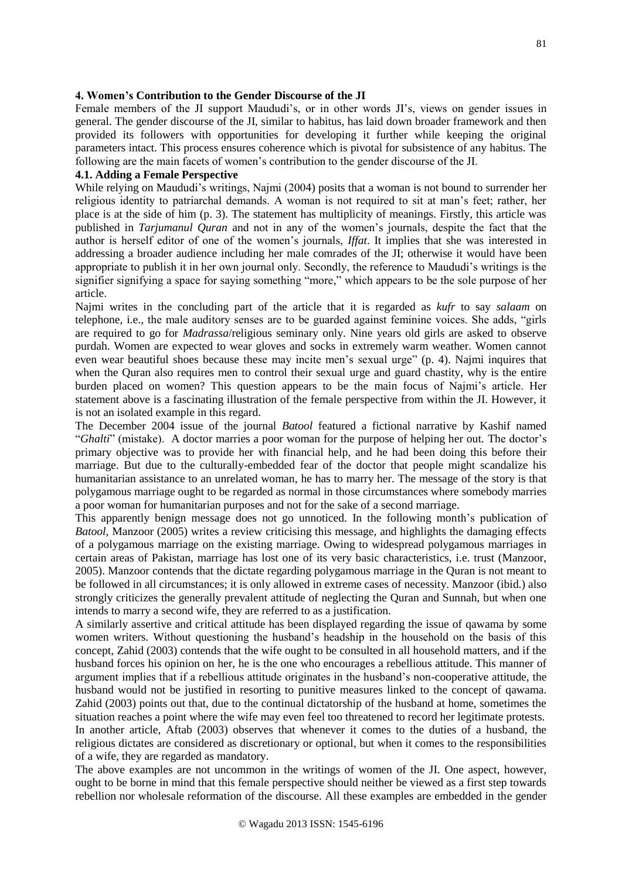#### **4. Women's Contribution to the Gender Discourse of the JI**

Female members of the JI support Maududi's, or in other words JI's, views on gender issues in general. The gender discourse of the JI, similar to habitus, has laid down broader framework and then provided its followers with opportunities for developing it further while keeping the original parameters intact. This process ensures coherence which is pivotal for subsistence of any habitus. The following are the main facets of women's contribution to the gender discourse of the JI.

### **4.1. Adding a Female Perspective**

While relying on Maududi's writings, Najmi (2004) posits that a woman is not bound to surrender her religious identity to patriarchal demands. A woman is not required to sit at man's feet; rather, her place is at the side of him (p. 3). The statement has multiplicity of meanings. Firstly, this article was published in *Tarjumanul Quran* and not in any of the women's journals, despite the fact that the author is herself editor of one of the women's journals, *Iffat*. It implies that she was interested in addressing a broader audience including her male comrades of the JI; otherwise it would have been appropriate to publish it in her own journal only. Secondly, the reference to Maududi's writings is the signifier signifying a space for saying something "more," which appears to be the sole purpose of her article.

Najmi writes in the concluding part of the article that it is regarded as *kufr* to say *salaam* on telephone, i.e., the male auditory senses are to be guarded against feminine voices. She adds, "girls are required to go for *Madrassa*/religious seminary only. Nine years old girls are asked to observe purdah. Women are expected to wear gloves and socks in extremely warm weather. Women cannot even wear beautiful shoes because these may incite men's sexual urge" (p. 4). Najmi inquires that when the Quran also requires men to control their sexual urge and guard chastity, why is the entire burden placed on women? This question appears to be the main focus of Najmi's article. Her statement above is a fascinating illustration of the female perspective from within the JI. However, it is not an isolated example in this regard.

The December 2004 issue of the journal *Batool* featured a fictional narrative by Kashif named "*Ghalti*" (mistake). A doctor marries a poor woman for the purpose of helping her out. The doctor's primary objective was to provide her with financial help, and he had been doing this before their marriage. But due to the culturally-embedded fear of the doctor that people might scandalize his humanitarian assistance to an unrelated woman, he has to marry her. The message of the story is that polygamous marriage ought to be regarded as normal in those circumstances where somebody marries a poor woman for humanitarian purposes and not for the sake of a second marriage.

This apparently benign message does not go unnoticed. In the following month's publication of *Batool*, Manzoor (2005) writes a review criticising this message, and highlights the damaging effects of a polygamous marriage on the existing marriage. Owing to widespread polygamous marriages in certain areas of Pakistan, marriage has lost one of its very basic characteristics, i.e. trust (Manzoor, 2005). Manzoor contends that the dictate regarding polygamous marriage in the Quran is not meant to be followed in all circumstances; it is only allowed in extreme cases of necessity. Manzoor (ibid.) also strongly criticizes the generally prevalent attitude of neglecting the Quran and Sunnah, but when one intends to marry a second wife, they are referred to as a justification.

A similarly assertive and critical attitude has been displayed regarding the issue of qawama by some women writers. Without questioning the husband's headship in the household on the basis of this concept, Zahid (2003) contends that the wife ought to be consulted in all household matters, and if the husband forces his opinion on her, he is the one who encourages a rebellious attitude. This manner of argument implies that if a rebellious attitude originates in the husband's non-cooperative attitude, the husband would not be justified in resorting to punitive measures linked to the concept of qawama. Zahid (2003) points out that, due to the continual dictatorship of the husband at home, sometimes the situation reaches a point where the wife may even feel too threatened to record her legitimate protests. In another article, Aftab (2003) observes that whenever it comes to the duties of a husband, the religious dictates are considered as discretionary or optional, but when it comes to the responsibilities of a wife, they are regarded as mandatory.

The above examples are not uncommon in the writings of women of the JI. One aspect, however, ought to be borne in mind that this female perspective should neither be viewed as a first step towards rebellion nor wholesale reformation of the discourse. All these examples are embedded in the gender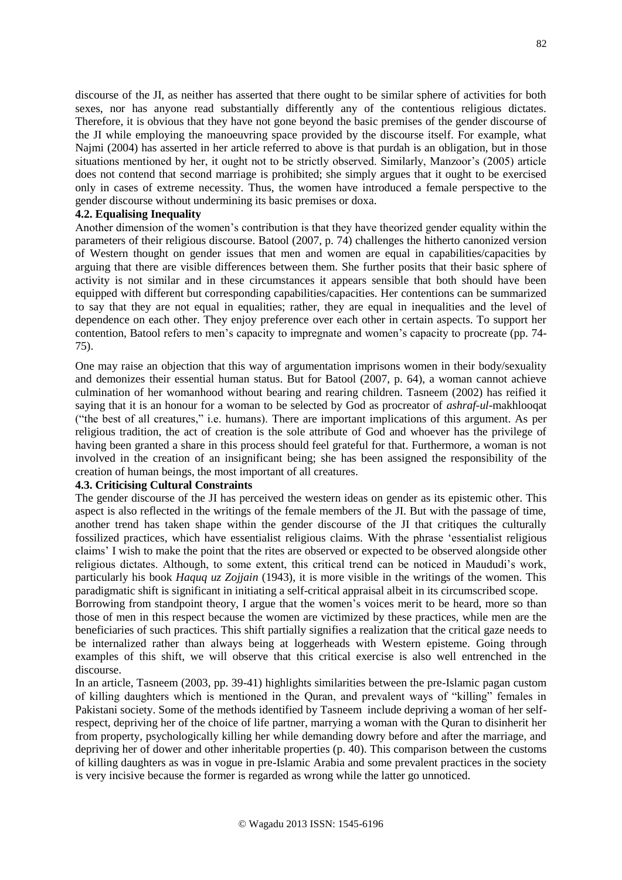discourse of the JI, as neither has asserted that there ought to be similar sphere of activities for both sexes, nor has anyone read substantially differently any of the contentious religious dictates. Therefore, it is obvious that they have not gone beyond the basic premises of the gender discourse of the JI while employing the manoeuvring space provided by the discourse itself. For example, what Najmi (2004) has asserted in her article referred to above is that purdah is an obligation, but in those situations mentioned by her, it ought not to be strictly observed. Similarly, Manzoor's (2005) article does not contend that second marriage is prohibited; she simply argues that it ought to be exercised only in cases of extreme necessity. Thus, the women have introduced a female perspective to the gender discourse without undermining its basic premises or doxa.

### **4.2. Equalising Inequality**

Another dimension of the women's contribution is that they have theorized gender equality within the parameters of their religious discourse. Batool (2007, p. 74) challenges the hitherto canonized version of Western thought on gender issues that men and women are equal in capabilities/capacities by arguing that there are visible differences between them. She further posits that their basic sphere of activity is not similar and in these circumstances it appears sensible that both should have been equipped with different but corresponding capabilities/capacities. Her contentions can be summarized to say that they are not equal in equalities; rather, they are equal in inequalities and the level of dependence on each other. They enjoy preference over each other in certain aspects. To support her contention, Batool refers to men's capacity to impregnate and women's capacity to procreate (pp. 74- 75).

One may raise an objection that this way of argumentation imprisons women in their body/sexuality and demonizes their essential human status. But for Batool (2007, p. 64), a woman cannot achieve culmination of her womanhood without bearing and rearing children. Tasneem (2002) has reified it saying that it is an honour for a woman to be selected by God as procreator of *ashraf-ul-*makhlooqat ("the best of all creatures," i.e. humans). There are important implications of this argument. As per religious tradition, the act of creation is the sole attribute of God and whoever has the privilege of having been granted a share in this process should feel grateful for that. Furthermore, a woman is not involved in the creation of an insignificant being; she has been assigned the responsibility of the creation of human beings, the most important of all creatures.

# **4.3. Criticising Cultural Constraints**

The gender discourse of the JI has perceived the western ideas on gender as its epistemic other. This aspect is also reflected in the writings of the female members of the JI. But with the passage of time, another trend has taken shape within the gender discourse of the JI that critiques the culturally fossilized practices, which have essentialist religious claims. With the phrase 'essentialist religious claims' I wish to make the point that the rites are observed or expected to be observed alongside other religious dictates. Although, to some extent, this critical trend can be noticed in Maududi's work, particularly his book *Haquq uz Zojjain* (1943), it is more visible in the writings of the women. This paradigmatic shift is significant in initiating a self-critical appraisal albeit in its circumscribed scope.

Borrowing from standpoint theory, I argue that the women's voices merit to be heard, more so than those of men in this respect because the women are victimized by these practices, while men are the beneficiaries of such practices. This shift partially signifies a realization that the critical gaze needs to be internalized rather than always being at loggerheads with Western episteme. Going through examples of this shift, we will observe that this critical exercise is also well entrenched in the discourse.

In an article, Tasneem (2003, pp. 39-41) highlights similarities between the pre-Islamic pagan custom of killing daughters which is mentioned in the Quran, and prevalent ways of "killing" females in Pakistani society. Some of the methods identified by Tasneem include depriving a woman of her selfrespect, depriving her of the choice of life partner, marrying a woman with the Quran to disinherit her from property, psychologically killing her while demanding dowry before and after the marriage, and depriving her of dower and other inheritable properties (p. 40). This comparison between the customs of killing daughters as was in vogue in pre-Islamic Arabia and some prevalent practices in the society is very incisive because the former is regarded as wrong while the latter go unnoticed.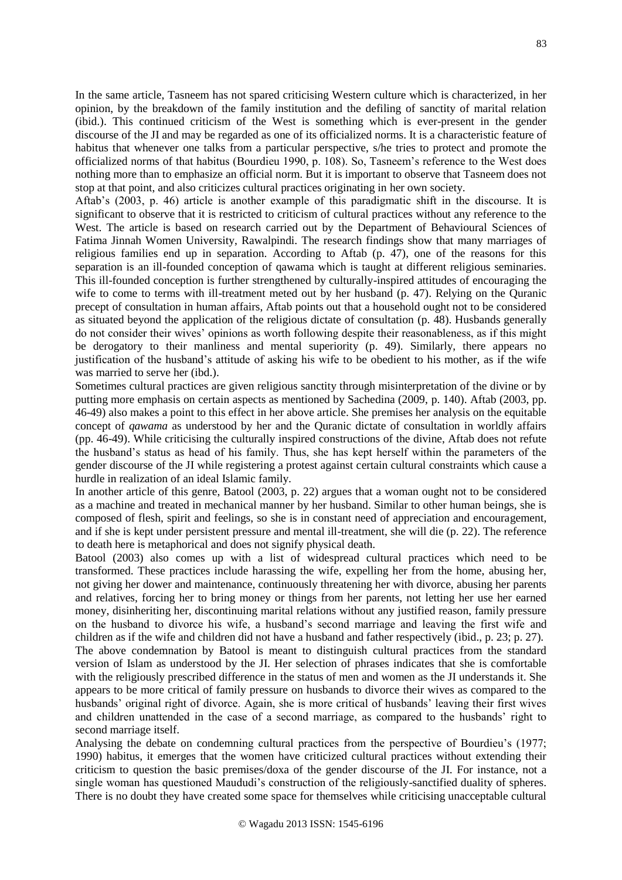In the same article, Tasneem has not spared criticising Western culture which is characterized, in her opinion, by the breakdown of the family institution and the defiling of sanctity of marital relation (ibid.). This continued criticism of the West is something which is ever-present in the gender discourse of the JI and may be regarded as one of its officialized norms. It is a characteristic feature of habitus that whenever one talks from a particular perspective, s/he tries to protect and promote the officialized norms of that habitus (Bourdieu 1990, p. 108). So, Tasneem's reference to the West does nothing more than to emphasize an official norm. But it is important to observe that Tasneem does not stop at that point, and also criticizes cultural practices originating in her own society.

Aftab's (2003, p. 46) article is another example of this paradigmatic shift in the discourse. It is significant to observe that it is restricted to criticism of cultural practices without any reference to the West. The article is based on research carried out by the Department of Behavioural Sciences of Fatima Jinnah Women University, Rawalpindi. The research findings show that many marriages of religious families end up in separation. According to Aftab (p. 47), one of the reasons for this separation is an ill-founded conception of qawama which is taught at different religious seminaries. This ill-founded conception is further strengthened by culturally-inspired attitudes of encouraging the wife to come to terms with ill-treatment meted out by her husband (p. 47). Relying on the Quranic precept of consultation in human affairs, Aftab points out that a household ought not to be considered as situated beyond the application of the religious dictate of consultation (p. 48). Husbands generally do not consider their wives' opinions as worth following despite their reasonableness, as if this might be derogatory to their manliness and mental superiority (p. 49). Similarly, there appears no justification of the husband's attitude of asking his wife to be obedient to his mother, as if the wife was married to serve her (ibd.).

Sometimes cultural practices are given religious sanctity through misinterpretation of the divine or by putting more emphasis on certain aspects as mentioned by Sachedina (2009, p. 140). Aftab (2003, pp. 46-49) also makes a point to this effect in her above article. She premises her analysis on the equitable concept of *qawama* as understood by her and the Quranic dictate of consultation in worldly affairs (pp. 46-49). While criticising the culturally inspired constructions of the divine, Aftab does not refute the husband's status as head of his family. Thus, she has kept herself within the parameters of the gender discourse of the JI while registering a protest against certain cultural constraints which cause a hurdle in realization of an ideal Islamic family.

In another article of this genre, Batool (2003, p. 22) argues that a woman ought not to be considered as a machine and treated in mechanical manner by her husband. Similar to other human beings, she is composed of flesh, spirit and feelings, so she is in constant need of appreciation and encouragement, and if she is kept under persistent pressure and mental ill-treatment, she will die (p. 22). The reference to death here is metaphorical and does not signify physical death.

Batool (2003) also comes up with a list of widespread cultural practices which need to be transformed. These practices include harassing the wife, expelling her from the home, abusing her, not giving her dower and maintenance, continuously threatening her with divorce, abusing her parents and relatives, forcing her to bring money or things from her parents, not letting her use her earned money, disinheriting her, discontinuing marital relations without any justified reason, family pressure on the husband to divorce his wife, a husband's second marriage and leaving the first wife and children as if the wife and children did not have a husband and father respectively (ibid., p. 23; p. 27). The above condemnation by Batool is meant to distinguish cultural practices from the standard version of Islam as understood by the JI. Her selection of phrases indicates that she is comfortable with the religiously prescribed difference in the status of men and women as the JI understands it. She appears to be more critical of family pressure on husbands to divorce their wives as compared to the husbands' original right of divorce. Again, she is more critical of husbands' leaving their first wives and children unattended in the case of a second marriage, as compared to the husbands' right to second marriage itself.

Analysing the debate on condemning cultural practices from the perspective of Bourdieu's (1977; 1990) habitus, it emerges that the women have criticized cultural practices without extending their criticism to question the basic premises/doxa of the gender discourse of the JI. For instance, not a single woman has questioned Maududi's construction of the religiously-sanctified duality of spheres. There is no doubt they have created some space for themselves while criticising unacceptable cultural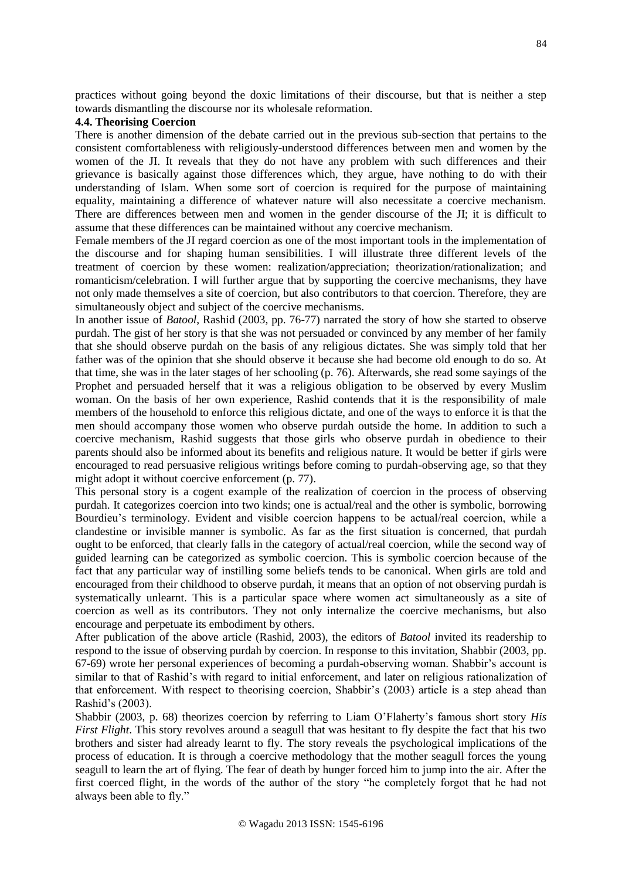practices without going beyond the doxic limitations of their discourse, but that is neither a step towards dismantling the discourse nor its wholesale reformation.

# **4.4. Theorising Coercion**

There is another dimension of the debate carried out in the previous sub-section that pertains to the consistent comfortableness with religiously-understood differences between men and women by the women of the JI. It reveals that they do not have any problem with such differences and their grievance is basically against those differences which, they argue, have nothing to do with their understanding of Islam. When some sort of coercion is required for the purpose of maintaining equality, maintaining a difference of whatever nature will also necessitate a coercive mechanism. There are differences between men and women in the gender discourse of the JI; it is difficult to assume that these differences can be maintained without any coercive mechanism.

Female members of the JI regard coercion as one of the most important tools in the implementation of the discourse and for shaping human sensibilities. I will illustrate three different levels of the treatment of coercion by these women: realization/appreciation; theorization/rationalization; and romanticism/celebration. I will further argue that by supporting the coercive mechanisms, they have not only made themselves a site of coercion, but also contributors to that coercion. Therefore, they are simultaneously object and subject of the coercive mechanisms.

In another issue of *Batool*, Rashid (2003, pp. 76-77) narrated the story of how she started to observe purdah. The gist of her story is that she was not persuaded or convinced by any member of her family that she should observe purdah on the basis of any religious dictates. She was simply told that her father was of the opinion that she should observe it because she had become old enough to do so. At that time, she was in the later stages of her schooling (p. 76). Afterwards, she read some sayings of the Prophet and persuaded herself that it was a religious obligation to be observed by every Muslim woman. On the basis of her own experience, Rashid contends that it is the responsibility of male members of the household to enforce this religious dictate, and one of the ways to enforce it is that the men should accompany those women who observe purdah outside the home. In addition to such a coercive mechanism, Rashid suggests that those girls who observe purdah in obedience to their parents should also be informed about its benefits and religious nature. It would be better if girls were encouraged to read persuasive religious writings before coming to purdah-observing age, so that they might adopt it without coercive enforcement (p. 77).

This personal story is a cogent example of the realization of coercion in the process of observing purdah. It categorizes coercion into two kinds; one is actual/real and the other is symbolic, borrowing Bourdieu's terminology. Evident and visible coercion happens to be actual/real coercion, while a clandestine or invisible manner is symbolic. As far as the first situation is concerned, that purdah ought to be enforced, that clearly falls in the category of actual/real coercion, while the second way of guided learning can be categorized as symbolic coercion. This is symbolic coercion because of the fact that any particular way of instilling some beliefs tends to be canonical. When girls are told and encouraged from their childhood to observe purdah, it means that an option of not observing purdah is systematically unlearnt. This is a particular space where women act simultaneously as a site of coercion as well as its contributors. They not only internalize the coercive mechanisms, but also encourage and perpetuate its embodiment by others.

After publication of the above article (Rashid, 2003), the editors of *Batool* invited its readership to respond to the issue of observing purdah by coercion. In response to this invitation, Shabbir (2003, pp. 67-69) wrote her personal experiences of becoming a purdah-observing woman. Shabbir's account is similar to that of Rashid's with regard to initial enforcement, and later on religious rationalization of that enforcement. With respect to theorising coercion, Shabbir's (2003) article is a step ahead than Rashid's (2003).

Shabbir (2003, p. 68) theorizes coercion by referring to Liam O'Flaherty's famous short story *His First Flight*. This story revolves around a seagull that was hesitant to fly despite the fact that his two brothers and sister had already learnt to fly. The story reveals the psychological implications of the process of education. It is through a coercive methodology that the mother seagull forces the young seagull to learn the art of flying. The fear of death by hunger forced him to jump into the air. After the first coerced flight, in the words of the author of the story "he completely forgot that he had not always been able to fly."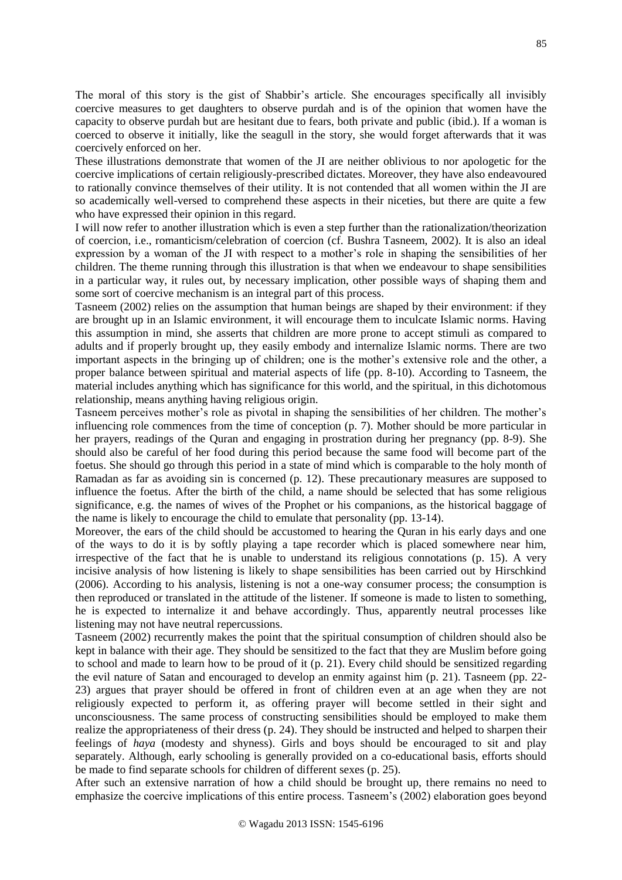The moral of this story is the gist of Shabbir's article. She encourages specifically all invisibly coercive measures to get daughters to observe purdah and is of the opinion that women have the capacity to observe purdah but are hesitant due to fears, both private and public (ibid.). If a woman is coerced to observe it initially, like the seagull in the story, she would forget afterwards that it was coercively enforced on her.

These illustrations demonstrate that women of the JI are neither oblivious to nor apologetic for the coercive implications of certain religiously-prescribed dictates. Moreover, they have also endeavoured to rationally convince themselves of their utility. It is not contended that all women within the JI are so academically well-versed to comprehend these aspects in their niceties, but there are quite a few who have expressed their opinion in this regard.

I will now refer to another illustration which is even a step further than the rationalization/theorization of coercion, i.e., romanticism/celebration of coercion (cf. Bushra Tasneem, 2002). It is also an ideal expression by a woman of the JI with respect to a mother's role in shaping the sensibilities of her children. The theme running through this illustration is that when we endeavour to shape sensibilities in a particular way, it rules out, by necessary implication, other possible ways of shaping them and some sort of coercive mechanism is an integral part of this process.

Tasneem (2002) relies on the assumption that human beings are shaped by their environment: if they are brought up in an Islamic environment, it will encourage them to inculcate Islamic norms. Having this assumption in mind, she asserts that children are more prone to accept stimuli as compared to adults and if properly brought up, they easily embody and internalize Islamic norms. There are two important aspects in the bringing up of children; one is the mother's extensive role and the other, a proper balance between spiritual and material aspects of life (pp. 8-10). According to Tasneem, the material includes anything which has significance for this world, and the spiritual, in this dichotomous relationship, means anything having religious origin.

Tasneem perceives mother's role as pivotal in shaping the sensibilities of her children. The mother's influencing role commences from the time of conception (p. 7). Mother should be more particular in her prayers, readings of the Quran and engaging in prostration during her pregnancy (pp. 8-9). She should also be careful of her food during this period because the same food will become part of the foetus. She should go through this period in a state of mind which is comparable to the holy month of Ramadan as far as avoiding sin is concerned (p. 12). These precautionary measures are supposed to influence the foetus. After the birth of the child, a name should be selected that has some religious significance, e.g. the names of wives of the Prophet or his companions, as the historical baggage of the name is likely to encourage the child to emulate that personality (pp. 13-14).

Moreover, the ears of the child should be accustomed to hearing the Quran in his early days and one of the ways to do it is by softly playing a tape recorder which is placed somewhere near him, irrespective of the fact that he is unable to understand its religious connotations (p. 15). A very incisive analysis of how listening is likely to shape sensibilities has been carried out by Hirschkind (2006). According to his analysis, listening is not a one-way consumer process; the consumption is then reproduced or translated in the attitude of the listener. If someone is made to listen to something, he is expected to internalize it and behave accordingly. Thus, apparently neutral processes like listening may not have neutral repercussions.

Tasneem (2002) recurrently makes the point that the spiritual consumption of children should also be kept in balance with their age. They should be sensitized to the fact that they are Muslim before going to school and made to learn how to be proud of it (p. 21). Every child should be sensitized regarding the evil nature of Satan and encouraged to develop an enmity against him (p. 21). Tasneem (pp. 22- 23) argues that prayer should be offered in front of children even at an age when they are not religiously expected to perform it, as offering prayer will become settled in their sight and unconsciousness. The same process of constructing sensibilities should be employed to make them realize the appropriateness of their dress (p. 24). They should be instructed and helped to sharpen their feelings of *haya* (modesty and shyness). Girls and boys should be encouraged to sit and play separately. Although, early schooling is generally provided on a co-educational basis, efforts should be made to find separate schools for children of different sexes (p. 25).

After such an extensive narration of how a child should be brought up, there remains no need to emphasize the coercive implications of this entire process. Tasneem's (2002) elaboration goes beyond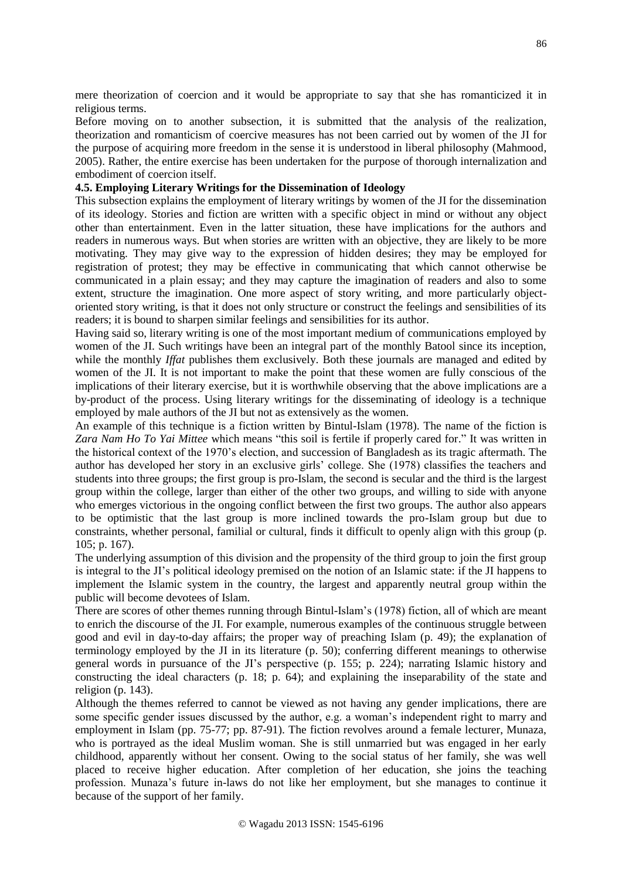mere theorization of coercion and it would be appropriate to say that she has romanticized it in religious terms.

Before moving on to another subsection, it is submitted that the analysis of the realization, theorization and romanticism of coercive measures has not been carried out by women of the JI for the purpose of acquiring more freedom in the sense it is understood in liberal philosophy (Mahmood, 2005). Rather, the entire exercise has been undertaken for the purpose of thorough internalization and embodiment of coercion itself.

# **4.5. Employing Literary Writings for the Dissemination of Ideology**

This subsection explains the employment of literary writings by women of the JI for the dissemination of its ideology. Stories and fiction are written with a specific object in mind or without any object other than entertainment. Even in the latter situation, these have implications for the authors and readers in numerous ways. But when stories are written with an objective, they are likely to be more motivating. They may give way to the expression of hidden desires; they may be employed for registration of protest; they may be effective in communicating that which cannot otherwise be communicated in a plain essay; and they may capture the imagination of readers and also to some extent, structure the imagination. One more aspect of story writing, and more particularly objectoriented story writing, is that it does not only structure or construct the feelings and sensibilities of its readers; it is bound to sharpen similar feelings and sensibilities for its author.

Having said so, literary writing is one of the most important medium of communications employed by women of the JI. Such writings have been an integral part of the monthly Batool since its inception, while the monthly *Iffat* publishes them exclusively. Both these journals are managed and edited by women of the JI. It is not important to make the point that these women are fully conscious of the implications of their literary exercise, but it is worthwhile observing that the above implications are a by-product of the process. Using literary writings for the disseminating of ideology is a technique employed by male authors of the JI but not as extensively as the women.

An example of this technique is a fiction written by Bintul-Islam (1978). The name of the fiction is *Zara Nam Ho To Yai Mittee* which means "this soil is fertile if properly cared for." It was written in the historical context of the 1970's election, and succession of Bangladesh as its tragic aftermath. The author has developed her story in an exclusive girls' college. She (1978) classifies the teachers and students into three groups; the first group is pro-Islam, the second is secular and the third is the largest group within the college, larger than either of the other two groups, and willing to side with anyone who emerges victorious in the ongoing conflict between the first two groups. The author also appears to be optimistic that the last group is more inclined towards the pro-Islam group but due to constraints, whether personal, familial or cultural, finds it difficult to openly align with this group (p. 105; p. 167).

The underlying assumption of this division and the propensity of the third group to join the first group is integral to the JI's political ideology premised on the notion of an Islamic state: if the JI happens to implement the Islamic system in the country, the largest and apparently neutral group within the public will become devotees of Islam.

There are scores of other themes running through Bintul-Islam's (1978) fiction, all of which are meant to enrich the discourse of the JI. For example, numerous examples of the continuous struggle between good and evil in day-to-day affairs; the proper way of preaching Islam (p. 49); the explanation of terminology employed by the JI in its literature (p. 50); conferring different meanings to otherwise general words in pursuance of the JI's perspective (p. 155; p. 224); narrating Islamic history and constructing the ideal characters (p. 18; p. 64); and explaining the inseparability of the state and religion (p. 143).

Although the themes referred to cannot be viewed as not having any gender implications, there are some specific gender issues discussed by the author, e.g. a woman's independent right to marry and employment in Islam (pp. 75-77; pp. 87-91). The fiction revolves around a female lecturer, Munaza, who is portrayed as the ideal Muslim woman. She is still unmarried but was engaged in her early childhood, apparently without her consent. Owing to the social status of her family, she was well placed to receive higher education. After completion of her education, she joins the teaching profession. Munaza's future in-laws do not like her employment, but she manages to continue it because of the support of her family.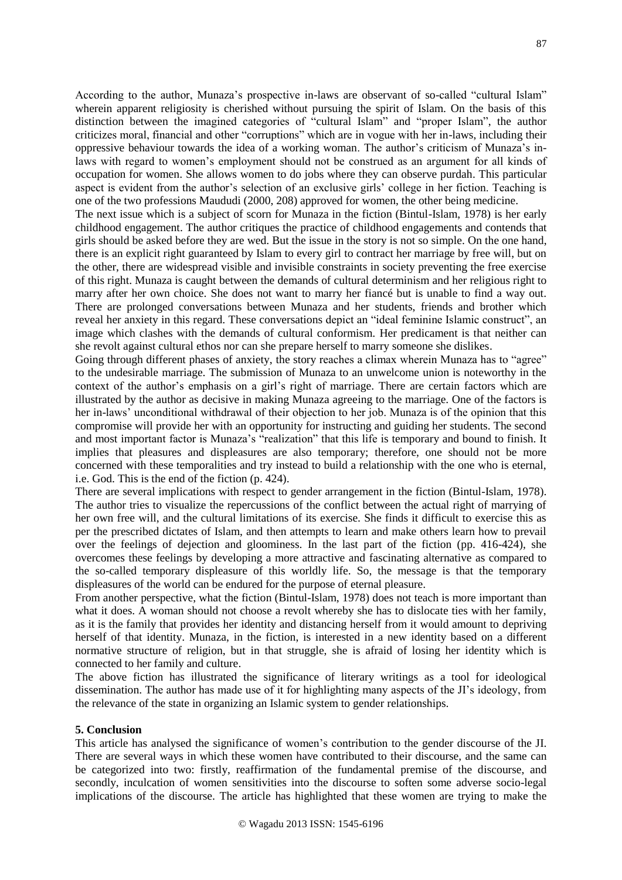According to the author, Munaza's prospective in-laws are observant of so-called "cultural Islam" wherein apparent religiosity is cherished without pursuing the spirit of Islam. On the basis of this distinction between the imagined categories of "cultural Islam" and "proper Islam", the author criticizes moral, financial and other "corruptions" which are in vogue with her in-laws, including their oppressive behaviour towards the idea of a working woman. The author's criticism of Munaza's inlaws with regard to women's employment should not be construed as an argument for all kinds of occupation for women. She allows women to do jobs where they can observe purdah. This particular aspect is evident from the author's selection of an exclusive girls' college in her fiction. Teaching is one of the two professions Maududi (2000, 208) approved for women, the other being medicine.

The next issue which is a subject of scorn for Munaza in the fiction (Bintul-Islam, 1978) is her early childhood engagement. The author critiques the practice of childhood engagements and contends that girls should be asked before they are wed. But the issue in the story is not so simple. On the one hand, there is an explicit right guaranteed by Islam to every girl to contract her marriage by free will, but on the other, there are widespread visible and invisible constraints in society preventing the free exercise of this right. Munaza is caught between the demands of cultural determinism and her religious right to marry after her own choice. She does not want to marry her fiancé but is unable to find a way out. There are prolonged conversations between Munaza and her students, friends and brother which reveal her anxiety in this regard. These conversations depict an "ideal feminine Islamic construct", an image which clashes with the demands of cultural conformism. Her predicament is that neither can she revolt against cultural ethos nor can she prepare herself to marry someone she dislikes.

Going through different phases of anxiety, the story reaches a climax wherein Munaza has to "agree" to the undesirable marriage. The submission of Munaza to an unwelcome union is noteworthy in the context of the author's emphasis on a girl's right of marriage. There are certain factors which are illustrated by the author as decisive in making Munaza agreeing to the marriage. One of the factors is her in-laws' unconditional withdrawal of their objection to her job. Munaza is of the opinion that this compromise will provide her with an opportunity for instructing and guiding her students. The second and most important factor is Munaza's "realization" that this life is temporary and bound to finish. It implies that pleasures and displeasures are also temporary; therefore, one should not be more concerned with these temporalities and try instead to build a relationship with the one who is eternal, i.e. God. This is the end of the fiction (p. 424).

There are several implications with respect to gender arrangement in the fiction (Bintul-Islam, 1978). The author tries to visualize the repercussions of the conflict between the actual right of marrying of her own free will, and the cultural limitations of its exercise. She finds it difficult to exercise this as per the prescribed dictates of Islam, and then attempts to learn and make others learn how to prevail over the feelings of dejection and gloominess. In the last part of the fiction (pp. 416-424), she overcomes these feelings by developing a more attractive and fascinating alternative as compared to the so-called temporary displeasure of this worldly life. So, the message is that the temporary displeasures of the world can be endured for the purpose of eternal pleasure.

From another perspective, what the fiction (Bintul-Islam, 1978) does not teach is more important than what it does. A woman should not choose a revolt whereby she has to dislocate ties with her family, as it is the family that provides her identity and distancing herself from it would amount to depriving herself of that identity. Munaza, in the fiction, is interested in a new identity based on a different normative structure of religion, but in that struggle, she is afraid of losing her identity which is connected to her family and culture.

The above fiction has illustrated the significance of literary writings as a tool for ideological dissemination. The author has made use of it for highlighting many aspects of the JI's ideology, from the relevance of the state in organizing an Islamic system to gender relationships.

#### **5. Conclusion**

This article has analysed the significance of women's contribution to the gender discourse of the JI. There are several ways in which these women have contributed to their discourse, and the same can be categorized into two: firstly, reaffirmation of the fundamental premise of the discourse, and secondly, inculcation of women sensitivities into the discourse to soften some adverse socio-legal implications of the discourse. The article has highlighted that these women are trying to make the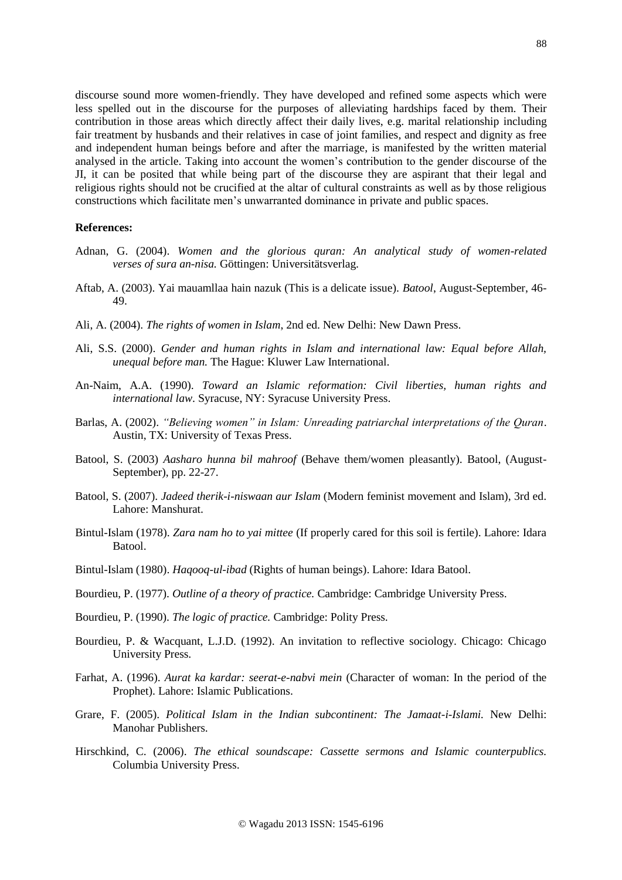discourse sound more women-friendly. They have developed and refined some aspects which were less spelled out in the discourse for the purposes of alleviating hardships faced by them. Their contribution in those areas which directly affect their daily lives, e.g. marital relationship including fair treatment by husbands and their relatives in case of joint families, and respect and dignity as free and independent human beings before and after the marriage, is manifested by the written material analysed in the article. Taking into account the women's contribution to the gender discourse of the JI, it can be posited that while being part of the discourse they are aspirant that their legal and religious rights should not be crucified at the altar of cultural constraints as well as by those religious constructions which facilitate men's unwarranted dominance in private and public spaces.

## **References:**

- Adnan, G. (2004). *Women and the glorious quran: An analytical study of women-related verses of sura an-nisa.* Göttingen: Universitätsverlag.
- Aftab, A. (2003). Yai mauamllaa hain nazuk (This is a delicate issue). *Batool*, August-September, 46- 49.
- Ali, A. (2004). *The rights of women in Islam*, 2nd ed. New Delhi: New Dawn Press.
- Ali, S.S. (2000). *Gender and human rights in Islam and international law: Equal before Allah, unequal before man.* The Hague: Kluwer Law International.
- An-Naim, A.A. (1990). *Toward an Islamic reformation: Civil liberties, human rights and international law*. Syracuse, NY: Syracuse University Press.
- Barlas, A. (2002). *"Believing women" in Islam: Unreading patriarchal interpretations of the Quran*. Austin, TX: University of Texas Press.
- Batool, S. (2003) *Aasharo hunna bil mahroof* (Behave them/women pleasantly). Batool, (August-September), pp. 22-27.
- Batool, S. (2007). *Jadeed therik-i-niswaan aur Islam* (Modern feminist movement and Islam), 3rd ed. Lahore: Manshurat.
- Bintul-Islam (1978). *Zara nam ho to yai mittee* (If properly cared for this soil is fertile). Lahore: Idara Batool.
- Bintul-Islam (1980). *Haqooq-ul-ibad* (Rights of human beings). Lahore: Idara Batool.
- Bourdieu, P. (1977). *Outline of a theory of practice.* Cambridge: Cambridge University Press.
- Bourdieu, P. (1990). *The logic of practice.* Cambridge: Polity Press.
- Bourdieu, P. & Wacquant, L.J.D. (1992). An invitation to reflective sociology. Chicago: Chicago University Press.
- Farhat, A. (1996). *Aurat ka kardar: seerat-e-nabvi mein* (Character of woman: In the period of the Prophet). Lahore: Islamic Publications.
- Grare, F. (2005). *Political Islam in the Indian subcontinent: The Jamaat-i-Islami.* New Delhi: Manohar Publishers.
- Hirschkind, C. (2006). *The ethical soundscape: Cassette sermons and Islamic counterpublics.* Columbia University Press.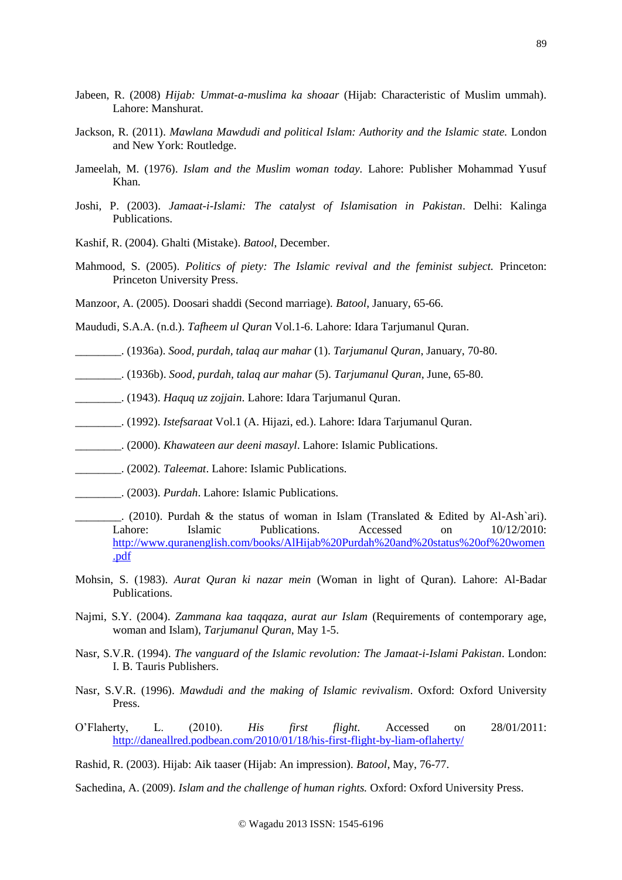- Jabeen, R. (2008) *Hijab: Ummat-a-muslima ka shoaar* (Hijab: Characteristic of Muslim ummah). Lahore: Manshurat.
- Jackson, R. (2011). *Mawlana Mawdudi and political Islam: Authority and the Islamic state.* London and New York: Routledge.
- Jameelah, M. (1976). *Islam and the Muslim woman today.* Lahore: Publisher Mohammad Yusuf Khan.
- Joshi, P. (2003). *Jamaat-i-Islami: The catalyst of Islamisation in Pakistan*. Delhi: Kalinga Publications.
- Kashif, R. (2004). Ghalti (Mistake). *Batool*, December.
- Mahmood, S. (2005). *Politics of piety: The Islamic revival and the feminist subject.* Princeton: Princeton University Press.
- Manzoor, A. (2005). Doosari shaddi (Second marriage). *Batool*, January, 65-66.

Maududi, S.A.A. (n.d.). *Tafheem ul Quran* Vol.1-6. Lahore: Idara Tarjumanul Quran.

- \_\_\_\_\_\_\_\_. (1936a). *Sood, purdah, talaq aur mahar* (1). *Tarjumanul Quran*, January, 70-80.
- \_\_\_\_\_\_\_\_. (1936b). *Sood, purdah, talaq aur mahar* (5). *Tarjumanul Quran*, June, 65-80.
- \_\_\_\_\_\_\_\_. (1943). *Haquq uz zojjain*. Lahore: Idara Tarjumanul Quran.
- \_\_\_\_\_\_\_\_. (1992). *Istefsaraat* Vol.1 (A. Hijazi, ed.). Lahore: Idara Tarjumanul Quran.
- \_\_\_\_\_\_\_\_. (2000). *Khawateen aur deeni masayl*. Lahore: Islamic Publications.
- \_\_\_\_\_\_\_\_. (2002). *Taleemat*. Lahore: Islamic Publications.
- \_\_\_\_\_\_\_\_. (2003). *Purdah*. Lahore: Islamic Publications.
- $\therefore$  (2010). Purdah & the status of woman in Islam (Translated & Edited by Al-Ash`ari). Lahore: Islamic Publications. Accessed on 10/12/2010: [http://www.quranenglish.com/books/AlHijab%20Purdah%20and%20status%20of%20women](http://www.quranenglish.com/books/AlHijab%20Purdah%20and%20status%20of%20women.pdf) [.pdf](http://www.quranenglish.com/books/AlHijab%20Purdah%20and%20status%20of%20women.pdf)
- Mohsin, S. (1983). *Aurat Quran ki nazar mein* (Woman in light of Quran). Lahore: Al-Badar Publications.
- Najmi, S.Y. (2004). *Zammana kaa taqqaza*, *aurat aur Islam* (Requirements of contemporary age, woman and Islam), *Tarjumanul Quran*, May 1-5.
- Nasr, S.V.R. (1994). *The vanguard of the Islamic revolution: The Jamaat-i-Islami Pakistan*. London: I. B. Tauris Publishers.
- Nasr, S.V.R. (1996). *Mawdudi and the making of Islamic revivalism*. Oxford: Oxford University Press.
- O'Flaherty, L. (2010). *His first flight.* Accessed on 28/01/2011: <http://daneallred.podbean.com/2010/01/18/his-first-flight-by-liam-oflaherty/>
- Rashid, R. (2003). Hijab: Aik taaser (Hijab: An impression). *Batool*, May, 76-77.

Sachedina, A. (2009). *Islam and the challenge of human rights.* Oxford: Oxford University Press.

89